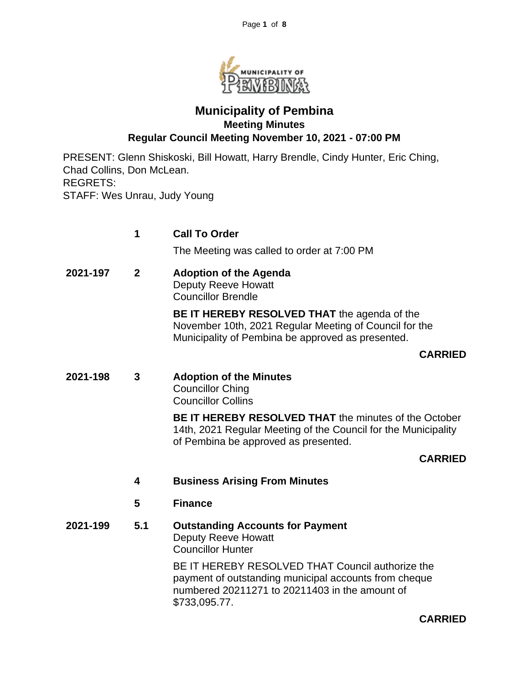

# **Municipality of Pembina Meeting Minutes Regular Council Meeting November 10, 2021 - 07:00 PM**

PRESENT: Glenn Shiskoski, Bill Howatt, Harry Brendle, Cindy Hunter, Eric Ching, Chad Collins, Don McLean. REGRETS: STAFF: Wes Unrau, Judy Young

|          | 1                       | <b>Call To Order</b>                                                                                                                                                         |
|----------|-------------------------|------------------------------------------------------------------------------------------------------------------------------------------------------------------------------|
|          |                         | The Meeting was called to order at 7:00 PM                                                                                                                                   |
| 2021-197 | $\mathbf{2}$            | <b>Adoption of the Agenda</b><br><b>Deputy Reeve Howatt</b><br><b>Councillor Brendle</b>                                                                                     |
|          |                         | <b>BE IT HEREBY RESOLVED THAT the agenda of the</b><br>November 10th, 2021 Regular Meeting of Council for the<br>Municipality of Pembina be approved as presented.           |
|          |                         | <b>CARRIED</b>                                                                                                                                                               |
| 2021-198 | 3                       | <b>Adoption of the Minutes</b><br><b>Councillor Ching</b><br><b>Councillor Collins</b>                                                                                       |
|          |                         | <b>BE IT HEREBY RESOLVED THAT the minutes of the October</b><br>14th, 2021 Regular Meeting of the Council for the Municipality<br>of Pembina be approved as presented.       |
|          |                         | <b>CARRIED</b>                                                                                                                                                               |
|          | $\overline{\mathbf{4}}$ | <b>Business Arising From Minutes</b>                                                                                                                                         |
|          | 5                       | <b>Finance</b>                                                                                                                                                               |
| 2021-199 | 5.1                     | <b>Outstanding Accounts for Payment</b><br><b>Deputy Reeve Howatt</b><br><b>Councillor Hunter</b>                                                                            |
|          |                         | BE IT HEREBY RESOLVED THAT Council authorize the<br>payment of outstanding municipal accounts from cheque<br>numbered 20211271 to 20211403 in the amount of<br>\$733,095.77. |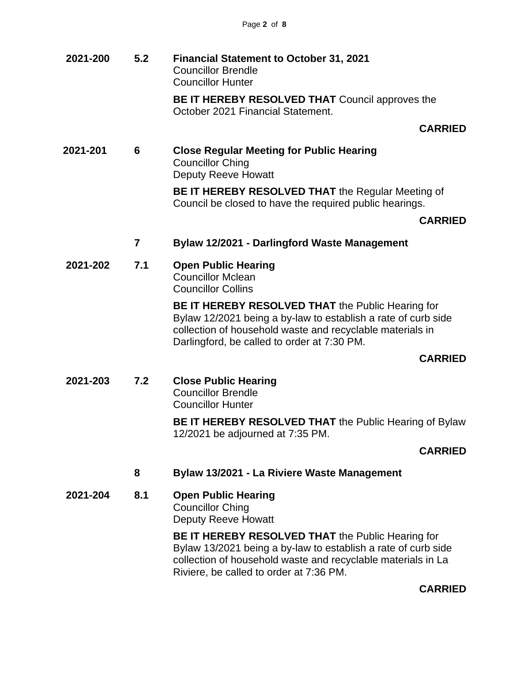**2021-200 5.2 Financial Statement to October 31, 2021** Councillor Brendle Councillor Hunter

**BE IT HEREBY RESOLVED THAT** Council approves the October 2021 Financial Statement.

**CARRIED**

**2021-201 6 Close Regular Meeting for Public Hearing** Councillor Ching Deputy Reeve Howatt

> **BE IT HEREBY RESOLVED THAT** the Regular Meeting of Council be closed to have the required public hearings.

### **CARRIED**

- **7 Bylaw 12/2021 - Darlingford Waste Management**
- **2021-202 7.1 Open Public Hearing** Councillor Mclean

Councillor Collins

**BE IT HEREBY RESOLVED THAT** the Public Hearing for Bylaw 12/2021 being a by-law to establish a rate of curb side collection of household waste and recyclable materials in Darlingford, be called to order at 7:30 PM.

### **CARRIED**

**2021-203 7.2 Close Public Hearing** Councillor Brendle Councillor Hunter

> **BE IT HEREBY RESOLVED THAT** the Public Hearing of Bylaw 12/2021 be adjourned at 7:35 PM.

## **CARRIED**

**8 Bylaw 13/2021 - La Riviere Waste Management**

**2021-204 8.1 Open Public Hearing** Councillor Ching Deputy Reeve Howatt

> **BE IT HEREBY RESOLVED THAT** the Public Hearing for Bylaw 13/2021 being a by-law to establish a rate of curb side collection of household waste and recyclable materials in La Riviere, be called to order at 7:36 PM.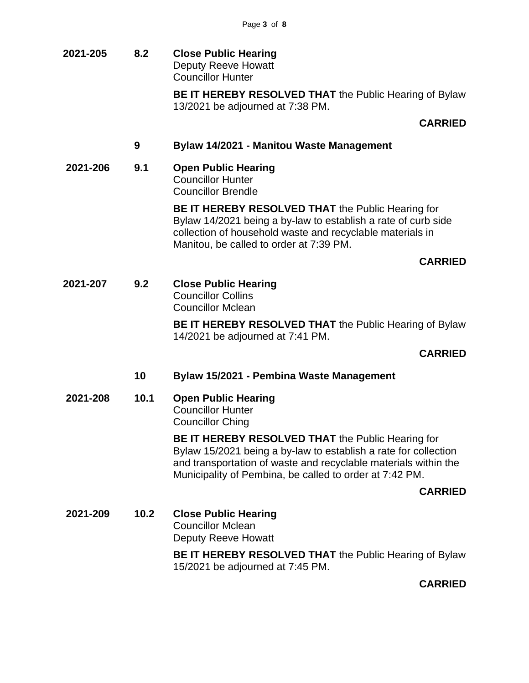**2021-205 8.2 Close Public Hearing** Deputy Reeve Howatt Councillor Hunter

> **BE IT HEREBY RESOLVED THAT** the Public Hearing of Bylaw 13/2021 be adjourned at 7:38 PM.

# **CARRIED**

### **9 Bylaw 14/2021 - Manitou Waste Management**

**2021-206 9.1 Open Public Hearing** Councillor Hunter Councillor Brendle

> **BE IT HEREBY RESOLVED THAT** the Public Hearing for Bylaw 14/2021 being a by-law to establish a rate of curb side collection of household waste and recyclable materials in Manitou, be called to order at 7:39 PM.

## **CARRIED**

**2021-207 9.2 Close Public Hearing** Councillor Collins

Councillor Mclean

**BE IT HEREBY RESOLVED THAT** the Public Hearing of Bylaw 14/2021 be adjourned at 7:41 PM.

### **CARRIED**

- **10 Bylaw 15/2021 - Pembina Waste Management**
- **2021-208 10.1 Open Public Hearing** Councillor Hunter

Councillor Ching

**BE IT HEREBY RESOLVED THAT** the Public Hearing for Bylaw 15/2021 being a by-law to establish a rate for collection and transportation of waste and recyclable materials within the Municipality of Pembina, be called to order at 7:42 PM.

### **CARRIED**

**2021-209 10.2 Close Public Hearing** Councillor Mclean Deputy Reeve Howatt

> **BE IT HEREBY RESOLVED THAT** the Public Hearing of Bylaw 15/2021 be adjourned at 7:45 PM.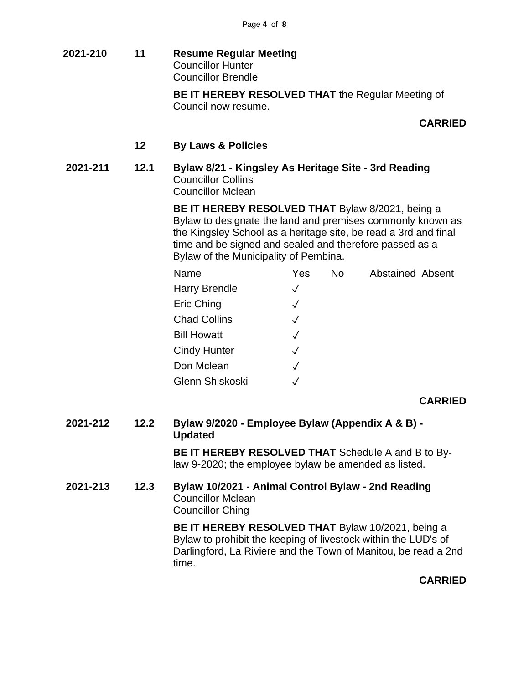**2021-210 11 Resume Regular Meeting** Councillor Hunter Councillor Brendle

> **BE IT HEREBY RESOLVED THAT** the Regular Meeting of Council now resume.

### **CARRIED**

#### **12 By Laws & Policies**

**2021-211 12.1 Bylaw 8/21 - Kingsley As Heritage Site - 3rd Reading** Councillor Collins Councillor Mclean

> **BE IT HEREBY RESOLVED THAT** Bylaw 8/2021, being a Bylaw to designate the land and premises commonly known as the Kingsley School as a heritage site, be read a 3rd and final time and be signed and sealed and therefore passed as a Bylaw of the Municipality of Pembina.

| Name                 | Yes          | No. | <b>Abstained Absent</b> |
|----------------------|--------------|-----|-------------------------|
| <b>Harry Brendle</b> | $\checkmark$ |     |                         |
| Eric Ching           | $\checkmark$ |     |                         |
| <b>Chad Collins</b>  | $\checkmark$ |     |                         |
| <b>Bill Howatt</b>   | $\checkmark$ |     |                         |
| <b>Cindy Hunter</b>  | $\checkmark$ |     |                         |
| Don Mclean           | $\checkmark$ |     |                         |
| Glenn Shiskoski      |              |     |                         |

### **CARRIED**

**2021-212 12.2 Bylaw 9/2020 - Employee Bylaw (Appendix A & B) - Updated**

> **BE IT HEREBY RESOLVED THAT** Schedule A and B to Bylaw 9-2020; the employee bylaw be amended as listed.

**2021-213 12.3 Bylaw 10/2021 - Animal Control Bylaw - 2nd Reading** Councillor Mclean Councillor Ching

> **BE IT HEREBY RESOLVED THAT** Bylaw 10/2021, being a Bylaw to prohibit the keeping of livestock within the LUD's of Darlingford, La Riviere and the Town of Manitou, be read a 2nd time.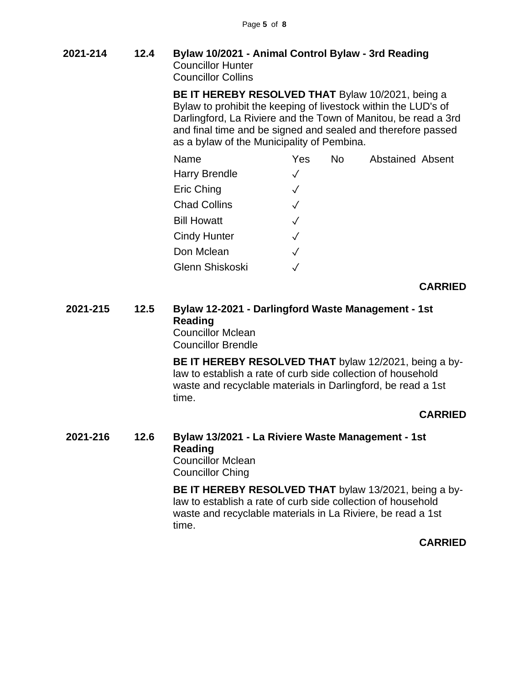**2021-214 12.4 Bylaw 10/2021 - Animal Control Bylaw - 3rd Reading** Councillor Hunter Councillor Collins

> **BE IT HEREBY RESOLVED THAT** Bylaw 10/2021, being a Bylaw to prohibit the keeping of livestock within the LUD's of Darlingford, La Riviere and the Town of Manitou, be read a 3rd and final time and be signed and sealed and therefore passed as a bylaw of the Municipality of Pembina.

| Name                 | Yes          | No. | <b>Abstained Absent</b> |
|----------------------|--------------|-----|-------------------------|
| <b>Harry Brendle</b> | $\checkmark$ |     |                         |
| Eric Ching           | $\checkmark$ |     |                         |
| <b>Chad Collins</b>  | $\checkmark$ |     |                         |
| <b>Bill Howatt</b>   | $\checkmark$ |     |                         |
| <b>Cindy Hunter</b>  | $\checkmark$ |     |                         |
| Don Mclean           | $\sqrt{}$    |     |                         |
| Glenn Shiskoski      | $\checkmark$ |     |                         |

### **CARRIED**

**2021-215 12.5 Bylaw 12-2021 - Darlingford Waste Management - 1st Reading** Councillor Mclean

Councillor Brendle

**BE IT HEREBY RESOLVED THAT** bylaw 12/2021, being a bylaw to establish a rate of curb side collection of household waste and recyclable materials in Darlingford, be read a 1st time.

## **CARRIED**

#### **2021-216 12.6 Bylaw 13/2021 - La Riviere Waste Management - 1st Reading** Councillor Mclean

Councillor Ching

**BE IT HEREBY RESOLVED THAT** bylaw 13/2021, being a bylaw to establish a rate of curb side collection of household waste and recyclable materials in La Riviere, be read a 1st time.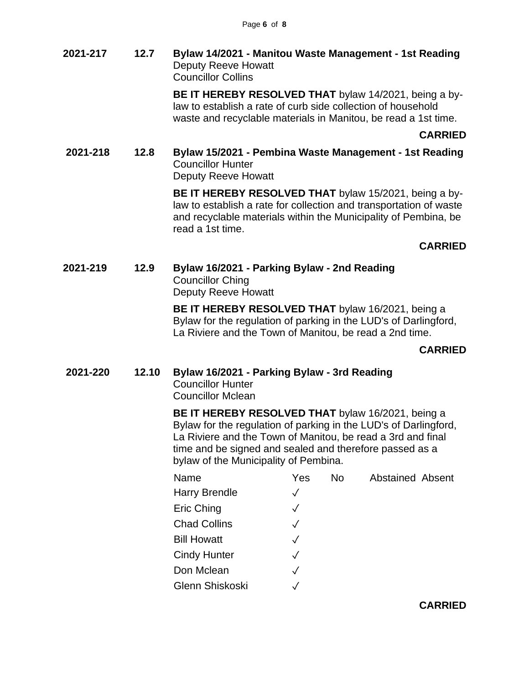### **2021-217 12.7 Bylaw 14/2021 - Manitou Waste Management - 1st Reading** Deputy Reeve Howatt Councillor Collins

**BE IT HEREBY RESOLVED THAT** bylaw 14/2021, being a bylaw to establish a rate of curb side collection of household waste and recyclable materials in Manitou, be read a 1st time.

**CARRIED**

**2021-218 12.8 Bylaw 15/2021 - Pembina Waste Management - 1st Reading** Councillor Hunter Deputy Reeve Howatt

> **BE IT HEREBY RESOLVED THAT** bylaw 15/2021, being a bylaw to establish a rate for collection and transportation of waste and recyclable materials within the Municipality of Pembina, be read a 1st time.

## **CARRIED**

**2021-219 12.9 Bylaw 16/2021 - Parking Bylaw - 2nd Reading** Councillor Ching Deputy Reeve Howatt

> **BE IT HEREBY RESOLVED THAT** bylaw 16/2021, being a Bylaw for the regulation of parking in the LUD's of Darlingford, La Riviere and the Town of Manitou, be read a 2nd time.

## **CARRIED**

**2021-220 12.10 Bylaw 16/2021 - Parking Bylaw - 3rd Reading**

Councillor Hunter Councillor Mclean

**BE IT HEREBY RESOLVED THAT** bylaw 16/2021, being a Bylaw for the regulation of parking in the LUD's of Darlingford, La Riviere and the Town of Manitou, be read a 3rd and final time and be signed and sealed and therefore passed as a bylaw of the Municipality of Pembina.

| Name                 | Yes          | <b>No</b> | <b>Abstained Absent</b> |  |
|----------------------|--------------|-----------|-------------------------|--|
| <b>Harry Brendle</b> | $\checkmark$ |           |                         |  |
| Eric Ching           | $\checkmark$ |           |                         |  |
| <b>Chad Collins</b>  | $\checkmark$ |           |                         |  |
| <b>Bill Howatt</b>   | $\checkmark$ |           |                         |  |
| <b>Cindy Hunter</b>  | $\checkmark$ |           |                         |  |
| Don Mclean           | $\checkmark$ |           |                         |  |
| Glenn Shiskoski      |              |           |                         |  |
|                      |              |           |                         |  |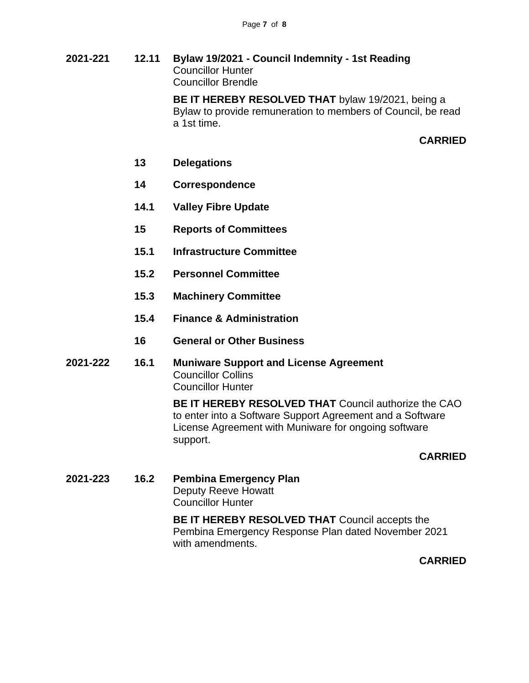**2021-221 12.11 Bylaw 19/2021 - Council Indemnity - 1st Reading** Councillor Hunter Councillor Brendle

> **BE IT HEREBY RESOLVED THAT** bylaw 19/2021, being a Bylaw to provide remuneration to members of Council, be read a 1st time.

### **CARRIED**

- **13 Delegations**
- **14 Correspondence**
- **14.1 Valley Fibre Update**
- **15 Reports of Committees**
- **15.1 Infrastructure Committee**
- **15.2 Personnel Committee**
- **15.3 Machinery Committee**
- **15.4 Finance & Administration**
- **16 General or Other Business**
- **2021-222 16.1 Muniware Support and License Agreement** Councillor Collins Councillor Hunter

**BE IT HEREBY RESOLVED THAT** Council authorize the CAO to enter into a Software Support Agreement and a Software License Agreement with Muniware for ongoing software support.

#### **CARRIED**

**2021-223 16.2 Pembina Emergency Plan** Deputy Reeve Howatt Councillor Hunter

> **BE IT HEREBY RESOLVED THAT** Council accepts the Pembina Emergency Response Plan dated November 2021 with amendments.